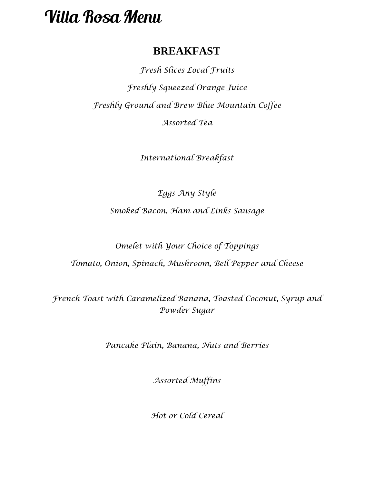## **BREAKFAST**

*Fresh Slices Local Fruits Freshly Squeezed Orange Juice Freshly Ground and Brew Blue Mountain Coffee Assorted Tea*

*International Breakfast*

*Eggs Any Style*

*Smoked Bacon, Ham and Links Sausage* 

*Omelet with Your Choice of Toppings* 

*Tomato, Onion, Spinach, Mushroom, Bell Pepper and Cheese*

*French Toast with Caramelized Banana, Toasted Coconut, Syrup and Powder Sugar*

*Pancake Plain, Banana, Nuts and Berries* 

*Assorted Muffins*

*Hot or Cold Cereal*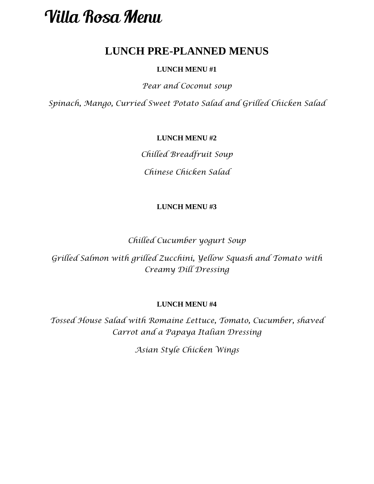## **LUNCH PRE-PLANNED MENUS**

### **LUNCH MENU #1**

*Pear and Coconut soup*

*Spinach, Mango, Curried Sweet Potato Salad and Grilled Chicken Salad*

### **LUNCH MENU #2**

*Chilled Breadfruit Soup*

*Chinese Chicken Salad*

### **LUNCH MENU #3**

*Chilled Cucumber yogurt Soup* 

*Grilled Salmon with grilled Zucchini, Yellow Squash and Tomato with Creamy Dill Dressing*

### **LUNCH MENU #4**

*Tossed House Salad with Romaine Lettuce, Tomato, Cucumber, shaved Carrot and a Papaya Italian Dressing*

*Asian Style Chicken Wings*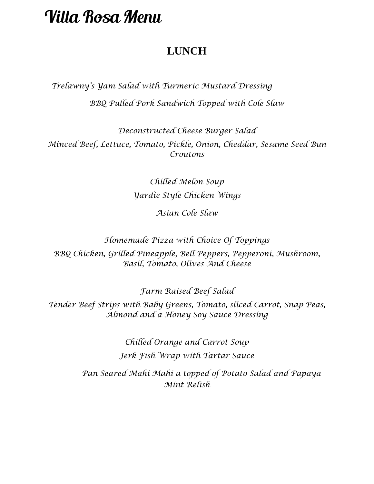## **LUNCH**

 *Trelawny's Yam Salad with Turmeric Mustard Dressing BBQ Pulled Pork Sandwich Topped with Cole Slaw*

*Deconstructed Cheese Burger Salad Minced Beef, Lettuce, Tomato, Pickle, Onion, Cheddar, Sesame Seed Bun Croutons* 

> *Chilled Melon Soup Yardie Style Chicken Wings*

> > *Asian Cole Slaw*

*Homemade Pizza with Choice Of Toppings* 

*BBQ Chicken, Grilled Pineapple, Bell Peppers, Pepperoni, Mushroom, Basil, Tomato, Olives And Cheese*

*Farm Raised Beef Salad*

*Tender Beef Strips with Baby Greens, Tomato, sliced Carrot, Snap Peas, Almond and a Honey Soy Sauce Dressing*

> *Chilled Orange and Carrot Soup Jerk Fish Wrap with Tartar Sauce*

 *Pan Seared Mahi Mahi a topped of Potato Salad and Papaya Mint Relish*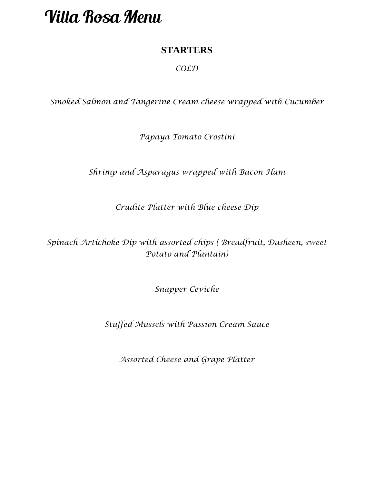### **STARTERS**

### *COLD*

*Smoked Salmon and Tangerine Cream cheese wrapped with Cucumber*

*Papaya Tomato Crostini*

*Shrimp and Asparagus wrapped with Bacon Ham*

*Crudite Platter with Blue cheese Dip*

*Spinach Artichoke Dip with assorted chips ( Breadfruit, Dasheen, sweet Potato and Plantain)*

*Snapper Ceviche*

*Stuffed Mussels with Passion Cream Sauce* 

*Assorted Cheese and Grape Platter*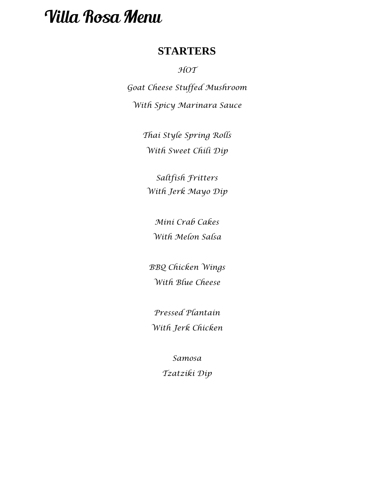### **STARTERS**

*HOT*

*Goat Cheese Stuffed Mushroom With Spicy Marinara Sauce*

> *Thai Style Spring Rolls With Sweet Chili Dip*

*Saltfish Fritters With Jerk Mayo Dip*

*Mini Crab Cakes With Melon Salsa*

*BBQ Chicken Wings With Blue Cheese*

*Pressed Plantain With Jerk Chicken*

> *Samosa Tzatziki Dip*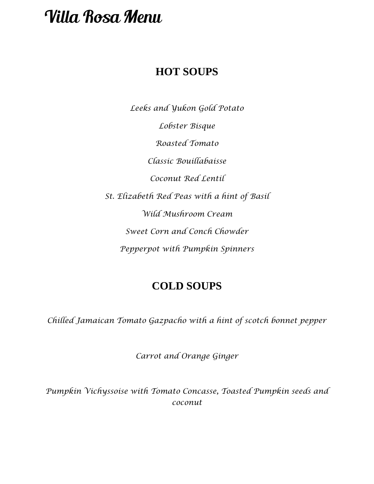## **HOT SOUPS**

*Leeks and Yukon Gold Potato Lobster Bisque Roasted Tomato Classic Bouillabaisse Coconut Red Lentil St. Elizabeth Red Peas with a hint of Basil Wild Mushroom Cream Sweet Corn and Conch Chowder Pepperpot with Pumpkin Spinners* 

## **COLD SOUPS**

*Chilled Jamaican Tomato Gazpacho with a hint of scotch bonnet pepper*

*Carrot and Orange Ginger* 

*Pumpkin Vichyssoise with Tomato Concasse, Toasted Pumpkin seeds and coconut*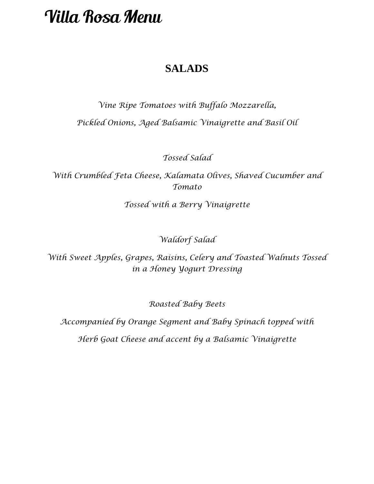## **SALADS**

*Vine Ripe Tomatoes with Buffalo Mozzarella, Pickled Onions, Aged Balsamic Vinaigrette and Basil Oil*

*Tossed Salad*

*With Crumbled Feta Cheese, Kalamata Olives, Shaved Cucumber and Tomato*

*Tossed with a Berry Vinaigrette*

*Waldorf Salad* 

*With Sweet Apples, Grapes, Raisins, Celery and Toasted Walnuts Tossed in a Honey Yogurt Dressing*

*Roasted Baby Beets*

*Accompanied by Orange Segment and Baby Spinach topped with Herb Goat Cheese and accent by a Balsamic Vinaigrette*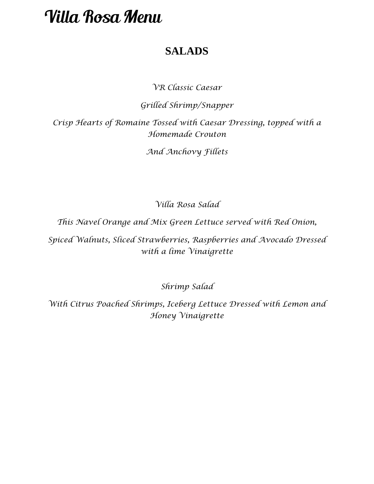## **SALADS**

*VR Classic Caesar*

*Grilled Shrimp/Snapper*

*Crisp Hearts of Romaine Tossed with Caesar Dressing, topped with a Homemade Crouton* 

*And Anchovy Fillets*

*Villa Rosa Salad* 

*This Navel Orange and Mix Green Lettuce served with Red Onion,*

*Spiced Walnuts, Sliced Strawberries, Raspberries and Avocado Dressed with a lime Vinaigrette*

*Shrimp Salad* 

*With Citrus Poached Shrimps, Iceberg Lettuce Dressed with Lemon and Honey Vinaigrette*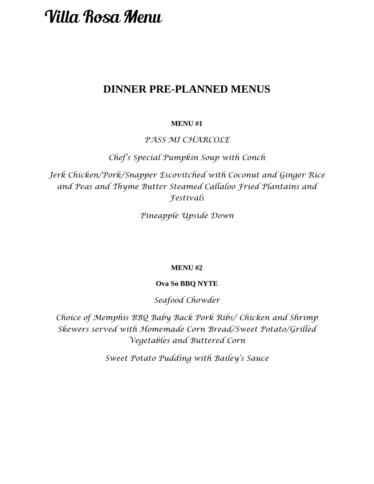## **DINNER PRE-PLANNED MENUS**

### **MENU #1**

*PASS MI CHARCOLE* 

*Chef's Special Pumpkin Soup with Conch*

*Jerk Chicken/Pork/Snapper Escovitched with Coconut and Ginger Rice and Peas and Thyme Butter Steamed Callaloo Fried Plantains and Festivals* 

*Pineapple Upside Down*

#### **MENU #2**

#### **Ova So BBQ NYTE**

*Seafood Chowder* 

*Choice of Memphis BBQ Baby Back Pork Ribs/ Chicken and Shrimp Skewers served with Homemade Corn Bread/Sweet Potato/Grilled Vegetables and Buttered Corn*

*Sweet Potato Pudding with Bailey's Sauce*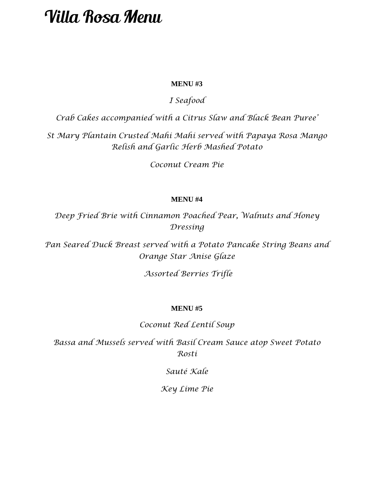### **MENU #3**

### *I Seafood*

*Crab Cakes accompanied with a Citrus Slaw and Black Bean Puree'*

*St Mary Plantain Crusted Mahi Mahi served with Papaya Rosa Mango Relish and Garlic Herb Mashed Potato* 

*Coconut Cream Pie* 

#### **MENU #4**

*Deep Fried Brie with Cinnamon Poached Pear, Walnuts and Honey Dressing* 

*Pan Seared Duck Breast served with a Potato Pancake String Beans and Orange Star Anise Glaze*

*Assorted Berries Trifle*

### **MENU #5**

*Coconut Red Lentil Soup*

*Bassa and Mussels served with Basil Cream Sauce atop Sweet Potato Rosti* 

*Sauté Kale* 

*Key Lime Pie*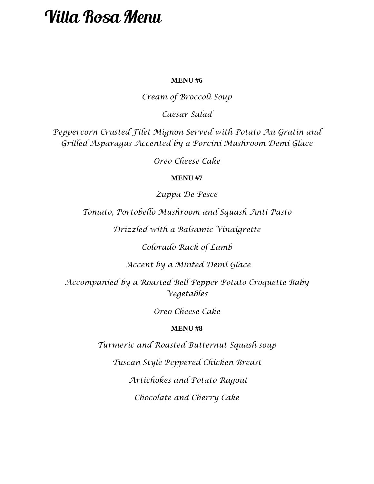### **MENU #6**

*Cream of Broccoli Soup*

*Caesar Salad* 

*Peppercorn Crusted Filet Mignon Served with Potato Au Gratin and Grilled Asparagus Accented by a Porcini Mushroom Demi Glace*

*Oreo Cheese Cake*

### **MENU #7**

*Zuppa De Pesce*

*Tomato, Portobello Mushroom and Squash Anti Pasto* 

*Drizzled with a Balsamic Vinaigrette* 

*Colorado Rack of Lamb*

*Accent by a Minted Demi Glace* 

*Accompanied by a Roasted Bell Pepper Potato Croquette Baby Vegetables* 

*Oreo Cheese Cake*

#### **MENU #8**

*Turmeric and Roasted Butternut Squash soup*

*Tuscan Style Peppered Chicken Breast*

*Artichokes and Potato Ragout* 

*Chocolate and Cherry Cake*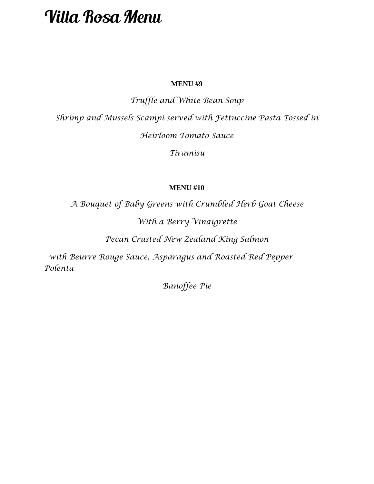### **MENU #9**

*Truffle and White Bean Soup* 

*Shrimp and Mussels Scampi served with Fettuccine Pasta Tossed in* 

*Heirloom Tomato Sauce* 

*Tiramisu* 

### **MENU #10**

*A Bouquet of Baby Greens with Crumbled Herb Goat Cheese*

*With a Berry Vinaigrette* 

*Pecan Crusted New Zealand King Salmon* 

 *with Beurre Rouge Sauce, Asparagus and Roasted Red Pepper Polenta* 

*Banoffee Pie*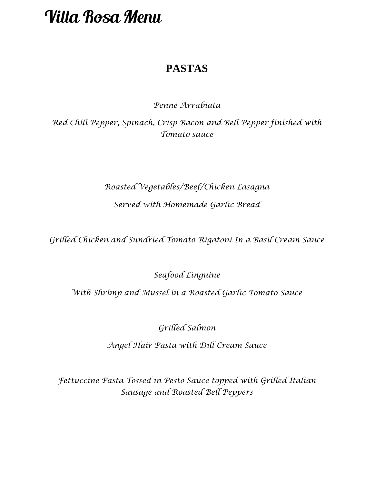## **PASTAS**

*Penne Arrabiata*

*Red Chili Pepper, Spinach, Crisp Bacon and Bell Pepper finished with Tomato sauce*

## *Roasted Vegetables/Beef/Chicken Lasagna Served with Homemade Garlic Bread*

*Grilled Chicken and Sundried Tomato Rigatoni In a Basil Cream Sauce*

*Seafood Linguine* 

*With Shrimp and Mussel in a Roasted Garlic Tomato Sauce*

*Grilled Salmon* 

*Angel Hair Pasta with Dill Cream Sauce*

*Fettuccine Pasta Tossed in Pesto Sauce topped with Grilled Italian Sausage and Roasted Bell Peppers*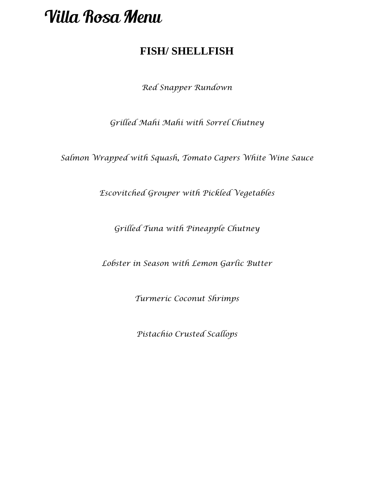## **FISH/ SHELLFISH**

*Red Snapper Rundown*

*Grilled Mahi Mahi with Sorrel Chutney*

*Salmon Wrapped with Squash, Tomato Capers White Wine Sauce* 

*Escovitched Grouper with Pickled Vegetables*

*Grilled Tuna with Pineapple Chutney* 

*Lobster in Season with Lemon Garlic Butter*

*Turmeric Coconut Shrimps*

*Pistachio Crusted Scallops*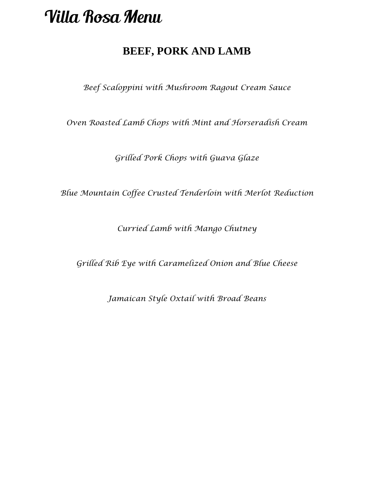## **BEEF, PORK AND LAMB**

*Beef Scaloppini with Mushroom Ragout Cream Sauce*

*Oven Roasted Lamb Chops with Mint and Horseradish Cream*

*Grilled Pork Chops with Guava Glaze*

*Blue Mountain Coffee Crusted Tenderloin with Merlot Reduction* 

*Curried Lamb with Mango Chutney* 

*Grilled Rib Eye with Caramelized Onion and Blue Cheese*

*Jamaican Style Oxtail with Broad Beans*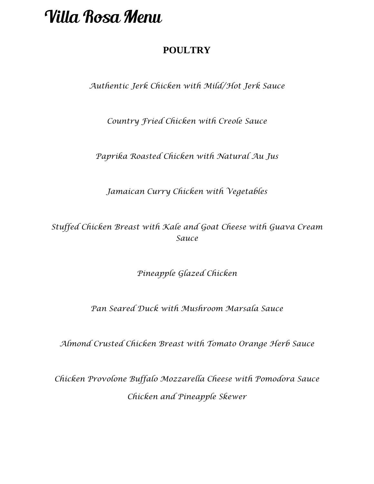### **POULTRY**

*Authentic Jerk Chicken with Mild/Hot Jerk Sauce*

*Country Fried Chicken with Creole Sauce*

*Paprika Roasted Chicken with Natural Au Jus* 

*Jamaican Curry Chicken with Vegetables*

*Stuffed Chicken Breast with Kale and Goat Cheese with Guava Cream Sauce*

*Pineapple Glazed Chicken*

*Pan Seared Duck with Mushroom Marsala Sauce*

*Almond Crusted Chicken Breast with Tomato Orange Herb Sauce*

*Chicken Provolone Buffalo Mozzarella Cheese with Pomodora Sauce Chicken and Pineapple Skewer*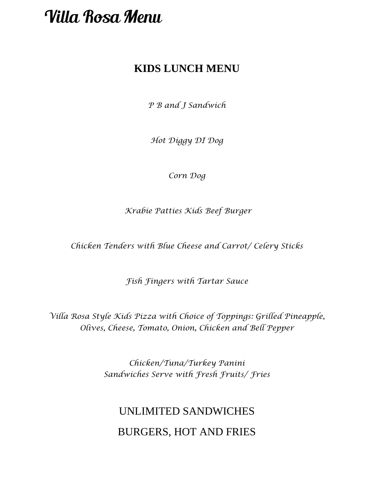## **KIDS LUNCH MENU**

*P B and J Sandwich*

*Hot Diggy DI Dog*

*Corn Dog*

*Krabie Patties Kids Beef Burger* 

*Chicken Tenders with Blue Cheese and Carrot/ Celery Sticks*

*Fish Fingers with Tartar Sauce*

*Villa Rosa Style Kids Pizza with Choice of Toppings: Grilled Pineapple, Olives, Cheese, Tomato, Onion, Chicken and Bell Pepper*

> *Chicken/Tuna/Turkey Panini Sandwiches Serve with Fresh Fruits/ Fries*

## UNLIMITED SANDWICHES BURGERS, HOT AND FRIES